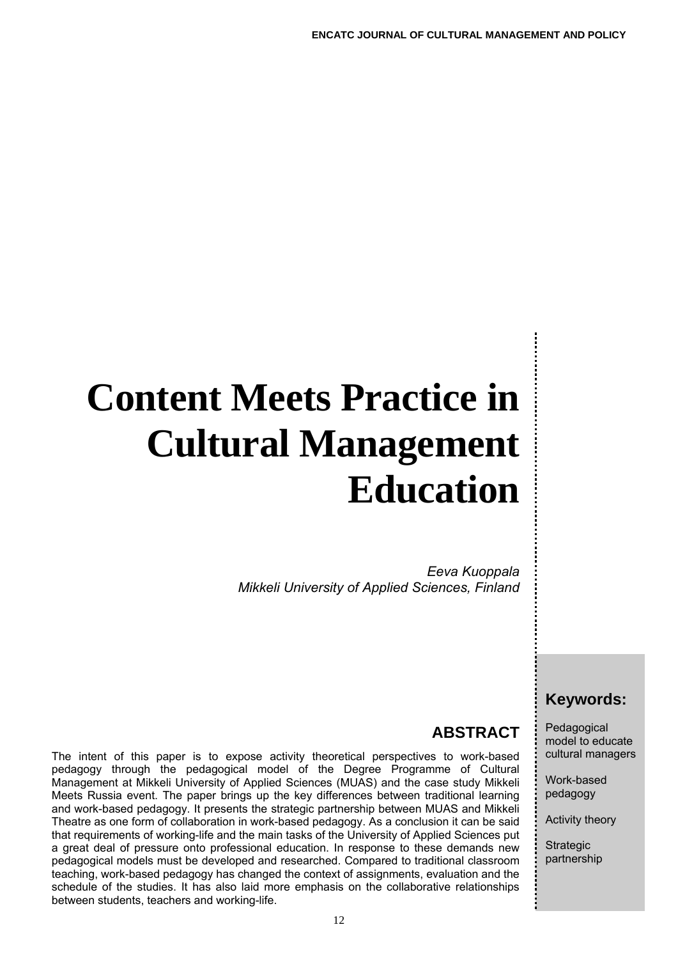# **Content Meets Practice in Cultural Management Education**

*Eeva Kuoppala Mikkeli University of Applied Sciences, Finland* 

## **Keywords:**

Pedagogical model to educate cultural managers

Work-based pedagogy

Activity theory

**Strategic** partnership

# **ABSTRACT**

The intent of this paper is to expose activity theoretical perspectives to work-based pedagogy through the pedagogical model of the Degree Programme of Cultural Management at Mikkeli University of Applied Sciences (MUAS) and the case study Mikkeli Meets Russia event. The paper brings up the key differences between traditional learning and work-based pedagogy. It presents the strategic partnership between MUAS and Mikkeli Theatre as one form of collaboration in work-based pedagogy. As a conclusion it can be said that requirements of working-life and the main tasks of the University of Applied Sciences put a great deal of pressure onto professional education. In response to these demands new pedagogical models must be developed and researched. Compared to traditional classroom teaching, work-based pedagogy has changed the context of assignments, evaluation and the schedule of the studies. It has also laid more emphasis on the collaborative relationships between students, teachers and working-life.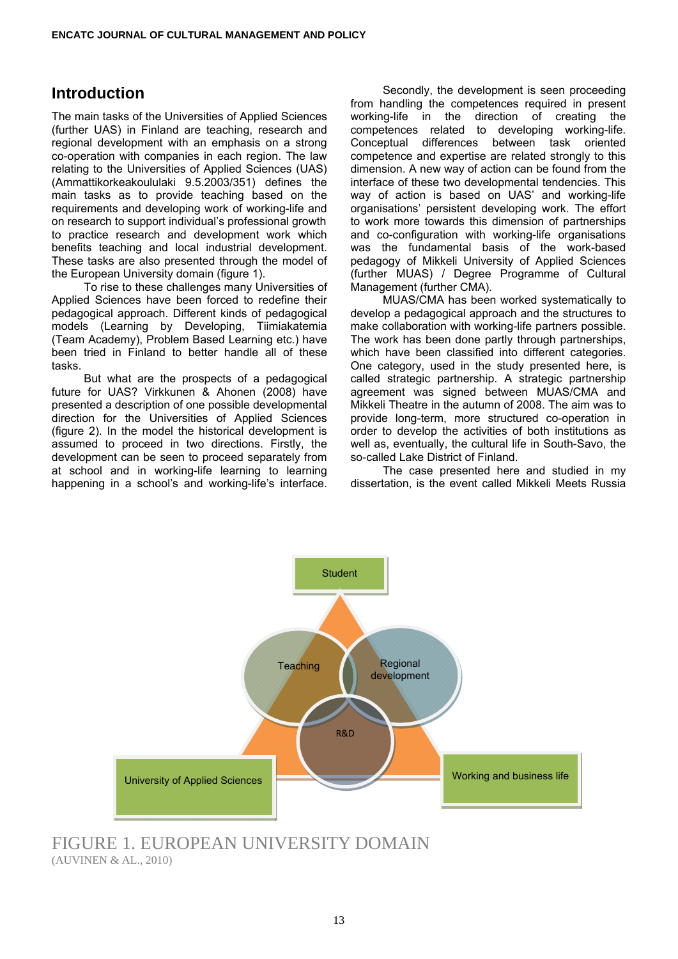#### **Introduction**

The main tasks of the Universities of Applied Sciences (further UAS) in Finland are teaching, research and regional development with an emphasis on a strong co-operation with companies in each region. The law relating to the Universities of Applied Sciences (UAS) (Ammattikorkeakoululaki 9.5.2003/351) defines the main tasks as to provide teaching based on the requirements and developing work of working-life and on research to support individual's professional growth to practice research and development work which benefits teaching and local industrial development. These tasks are also presented through the model of the European University domain (figure 1).

 To rise to these challenges many Universities of Applied Sciences have been forced to redefine their pedagogical approach. Different kinds of pedagogical models (Learning by Developing, Tiimiakatemia (Team Academy), Problem Based Learning etc.) have been tried in Finland to better handle all of these tasks.

 But what are the prospects of a pedagogical future for UAS? Virkkunen & Ahonen (2008) have presented a description of one possible developmental direction for the Universities of Applied Sciences (figure 2). In the model the historical development is assumed to proceed in two directions. Firstly, the development can be seen to proceed separately from at school and in working-life learning to learning happening in a school's and working-life's interface.

 Secondly, the development is seen proceeding from handling the competences required in present working-life in the direction of creating the competences related to developing working-life. Conceptual differences between task oriented competence and expertise are related strongly to this dimension. A new way of action can be found from the interface of these two developmental tendencies. This way of action is based on UAS' and working-life organisations' persistent developing work. The effort to work more towards this dimension of partnerships and co-configuration with working-life organisations was the fundamental basis of the work-based pedagogy of Mikkeli University of Applied Sciences (further MUAS) / Degree Programme of Cultural Management (further CMA).

 MUAS/CMA has been worked systematically to develop a pedagogical approach and the structures to make collaboration with working-life partners possible. The work has been done partly through partnerships, which have been classified into different categories. One category, used in the study presented here, is called strategic partnership. A strategic partnership agreement was signed between MUAS/CMA and Mikkeli Theatre in the autumn of 2008. The aim was to provide long-term, more structured co-operation in order to develop the activities of both institutions as well as, eventually, the cultural life in South-Savo, the so-called Lake District of Finland.

 The case presented here and studied in my dissertation, is the event called Mikkeli Meets Russia



FIGURE 1. EUROPEAN UNIVERSITY DOMAIN (AUVINEN & AL., 2010)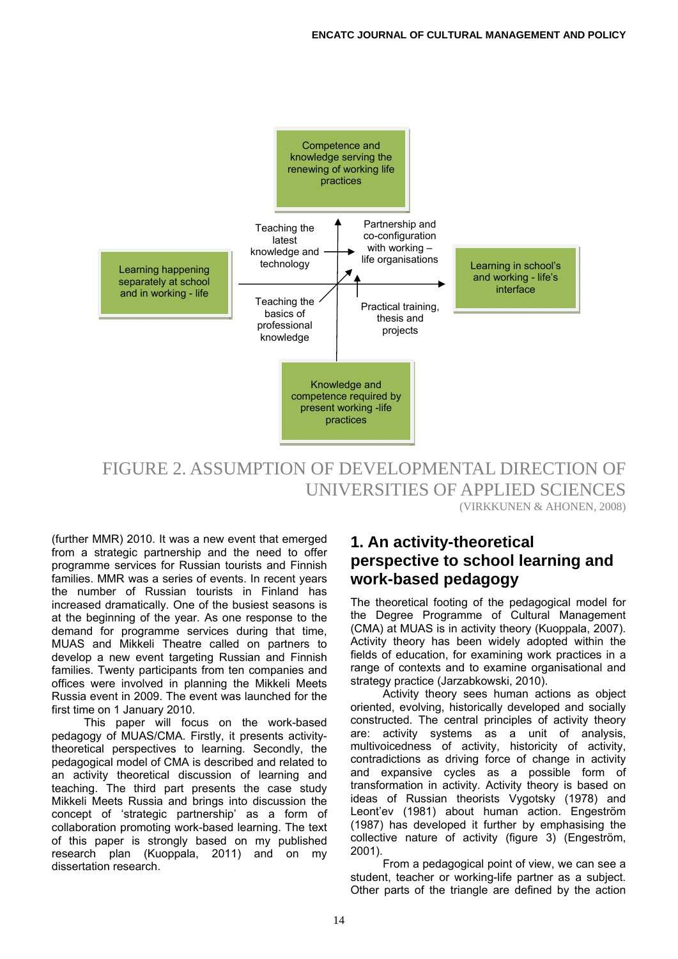

FIGURE 2. ASSUMPTION OF DEVELOPMENTAL DIRECTION OF UNIVERSITIES OF APPLIED SCIENCES (VIRKKUNEN & AHONEN, 2008)

(further MMR) 2010. It was a new event that emerged from a strategic partnership and the need to offer programme services for Russian tourists and Finnish families. MMR was a series of events. In recent years the number of Russian tourists in Finland has increased dramatically. One of the busiest seasons is at the beginning of the year. As one response to the demand for programme services during that time, MUAS and Mikkeli Theatre called on partners to develop a new event targeting Russian and Finnish families. Twenty participants from ten companies and offices were involved in planning the Mikkeli Meets Russia event in 2009. The event was launched for the first time on 1 January 2010.

 This paper will focus on the work-based pedagogy of MUAS/CMA. Firstly, it presents activitytheoretical perspectives to learning. Secondly, the pedagogical model of CMA is described and related to an activity theoretical discussion of learning and teaching. The third part presents the case study Mikkeli Meets Russia and brings into discussion the concept of 'strategic partnership' as a form of collaboration promoting work-based learning. The text of this paper is strongly based on my published research plan (Kuoppala, 2011) and on my dissertation research.

#### **1. An activity-theoretical perspective to school learning and work-based pedagogy**

The theoretical footing of the pedagogical model for the Degree Programme of Cultural Management (CMA) at MUAS is in activity theory (Kuoppala, 2007). Activity theory has been widely adopted within the fields of education, for examining work practices in a range of contexts and to examine organisational and strategy practice (Jarzabkowski, 2010).

 Activity theory sees human actions as object oriented, evolving, historically developed and socially constructed. The central principles of activity theory are: activity systems as a unit of analysis, multivoicedness of activity, historicity of activity, contradictions as driving force of change in activity and expansive cycles as a possible form of transformation in activity. Activity theory is based on ideas of Russian theorists Vygotsky (1978) and Leont'ev (1981) about human action. Engeström (1987) has developed it further by emphasising the collective nature of activity (figure 3) (Engeström, 2001).

 From a pedagogical point of view, we can see a student, teacher or working-life partner as a subject. Other parts of the triangle are defined by the action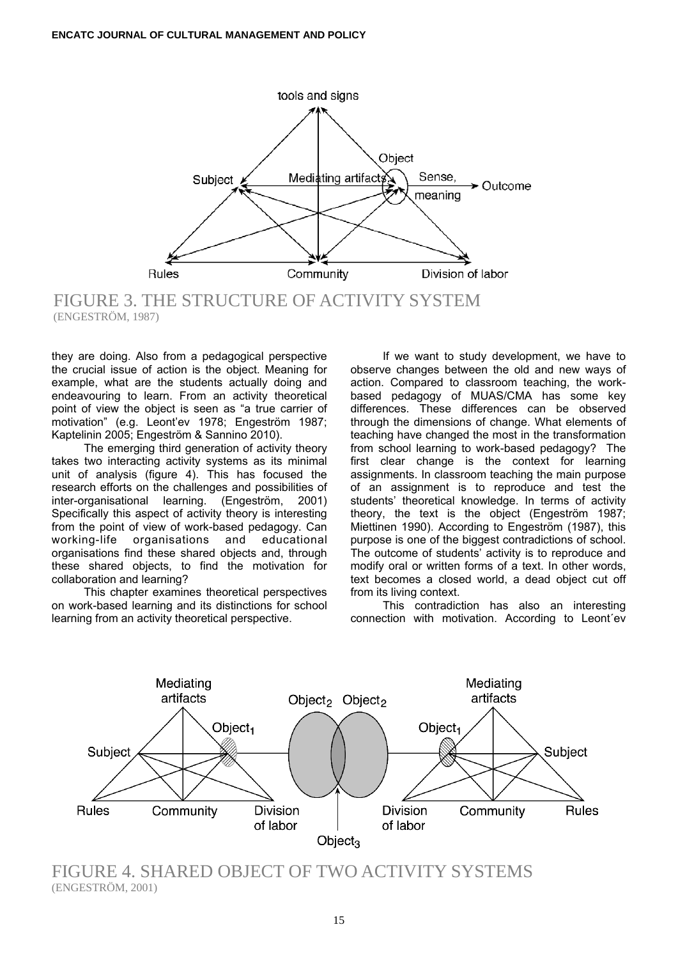

FIGURE 3. THE STRUCTURE OF ACTIVITY SYSTEM (ENGESTRÖM, 1987)

they are doing. Also from a pedagogical perspective the crucial issue of action is the object. Meaning for example, what are the students actually doing and endeavouring to learn. From an activity theoretical point of view the object is seen as "a true carrier of motivation" (e.g. Leont'ev 1978; Engeström 1987; Kaptelinin 2005; Engeström & Sannino 2010).

 The emerging third generation of activity theory takes two interacting activity systems as its minimal unit of analysis (figure 4). This has focused the research efforts on the challenges and possibilities of inter-organisational learning. (Engeström, 2001) Specifically this aspect of activity theory is interesting from the point of view of work-based pedagogy. Can working-life organisations and educational organisations find these shared objects and, through these shared objects, to find the motivation for collaboration and learning?

 This chapter examines theoretical perspectives on work-based learning and its distinctions for school learning from an activity theoretical perspective.

 If we want to study development, we have to observe changes between the old and new ways of action. Compared to classroom teaching, the workbased pedagogy of MUAS/CMA has some key differences. These differences can be observed through the dimensions of change. What elements of teaching have changed the most in the transformation from school learning to work-based pedagogy? The first clear change is the context for learning assignments. In classroom teaching the main purpose of an assignment is to reproduce and test the students' theoretical knowledge. In terms of activity theory, the text is the object (Engeström 1987; Miettinen 1990). According to Engeström (1987), this purpose is one of the biggest contradictions of school. The outcome of students' activity is to reproduce and modify oral or written forms of a text. In other words, text becomes a closed world, a dead object cut off from its living context.

 This contradiction has also an interesting connection with motivation. According to Leont´ev



FIGURE 4. SHARED OBJECT OF TWO ACTIVITY SYSTEMS (ENGESTRÖM, 2001)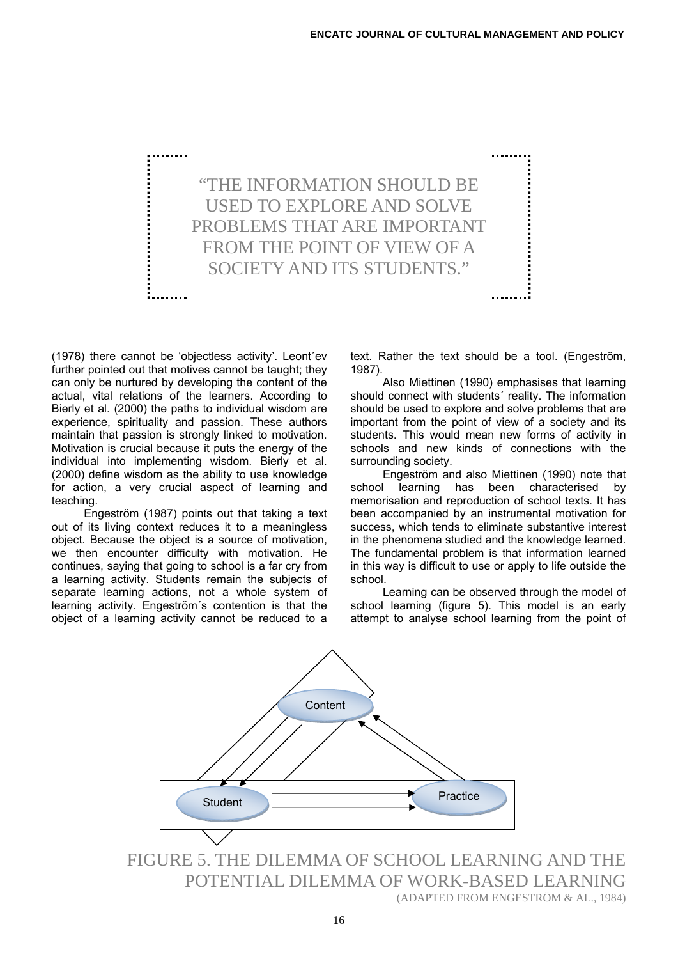

(1978) there cannot be 'objectless activity'. Leont´ev further pointed out that motives cannot be taught; they can only be nurtured by developing the content of the actual, vital relations of the learners. According to Bierly et al. (2000) the paths to individual wisdom are experience, spirituality and passion. These authors maintain that passion is strongly linked to motivation. Motivation is crucial because it puts the energy of the individual into implementing wisdom. Bierly et al. (2000) define wisdom as the ability to use knowledge for action, a very crucial aspect of learning and teaching.

 Engeström (1987) points out that taking a text out of its living context reduces it to a meaningless object. Because the object is a source of motivation, we then encounter difficulty with motivation. He continues, saying that going to school is a far cry from a learning activity. Students remain the subjects of separate learning actions, not a whole system of learning activity. Engeström´s contention is that the object of a learning activity cannot be reduced to a text. Rather the text should be a tool. (Engeström, 1987).

 Also Miettinen (1990) emphasises that learning should connect with students´ reality. The information should be used to explore and solve problems that are important from the point of view of a society and its students. This would mean new forms of activity in schools and new kinds of connections with the surrounding society.

 Engeström and also Miettinen (1990) note that school learning has been characterised by memorisation and reproduction of school texts. It has been accompanied by an instrumental motivation for success, which tends to eliminate substantive interest in the phenomena studied and the knowledge learned. The fundamental problem is that information learned in this way is difficult to use or apply to life outside the school.

 Learning can be observed through the model of school learning (figure 5). This model is an early attempt to analyse school learning from the point of



FIGURE 5. THE DILEMMA OF SCHOOL LEARNING AND THE POTENTIAL DILEMMA OF WORK-BASED LEARNING (ADAPTED FROM ENGESTRÖM & AL., 1984)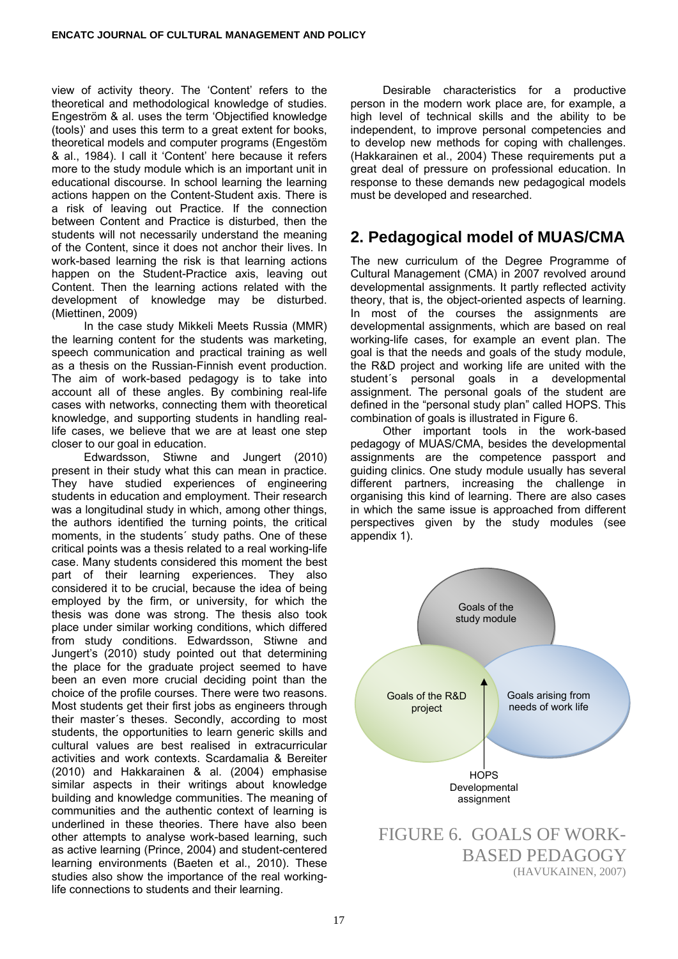view of activity theory. The 'Content' refers to the theoretical and methodological knowledge of studies. Engeström & al. uses the term 'Objectified knowledge (tools)' and uses this term to a great extent for books, theoretical models and computer programs (Engestöm & al., 1984). I call it 'Content' here because it refers more to the study module which is an important unit in educational discourse. In school learning the learning actions happen on the Content-Student axis. There is a risk of leaving out Practice. If the connection between Content and Practice is disturbed, then the students will not necessarily understand the meaning of the Content, since it does not anchor their lives. In work-based learning the risk is that learning actions happen on the Student-Practice axis, leaving out Content. Then the learning actions related with the development of knowledge may be disturbed. (Miettinen, 2009)

 In the case study Mikkeli Meets Russia (MMR) the learning content for the students was marketing, speech communication and practical training as well as a thesis on the Russian-Finnish event production. The aim of work-based pedagogy is to take into account all of these angles. By combining real-life cases with networks, connecting them with theoretical knowledge, and supporting students in handling reallife cases, we believe that we are at least one step closer to our goal in education.

 Edwardsson, Stiwne and Jungert (2010) present in their study what this can mean in practice. They have studied experiences of engineering students in education and employment. Their research was a longitudinal study in which, among other things, the authors identified the turning points, the critical moments, in the students´ study paths. One of these critical points was a thesis related to a real working-life case. Many students considered this moment the best part of their learning experiences. They also considered it to be crucial, because the idea of being employed by the firm, or university, for which the thesis was done was strong. The thesis also took place under similar working conditions, which differed from study conditions. Edwardsson, Stiwne and Jungert's (2010) study pointed out that determining the place for the graduate project seemed to have been an even more crucial deciding point than the choice of the profile courses. There were two reasons. Most students get their first jobs as engineers through their master´s theses. Secondly, according to most students, the opportunities to learn generic skills and cultural values are best realised in extracurricular activities and work contexts. Scardamalia & Bereiter (2010) and Hakkarainen & al. (2004) emphasise similar aspects in their writings about knowledge building and knowledge communities. The meaning of communities and the authentic context of learning is underlined in these theories. There have also been other attempts to analyse work-based learning, such as active learning (Prince, 2004) and student-centered learning environments (Baeten et al., 2010). These studies also show the importance of the real workinglife connections to students and their learning.

 Desirable characteristics for a productive person in the modern work place are, for example, a high level of technical skills and the ability to be independent, to improve personal competencies and to develop new methods for coping with challenges. (Hakkarainen et al., 2004) These requirements put a great deal of pressure on professional education. In response to these demands new pedagogical models must be developed and researched.

#### **2. Pedagogical model of MUAS/CMA**

The new curriculum of the Degree Programme of Cultural Management (CMA) in 2007 revolved around developmental assignments. It partly reflected activity theory, that is, the object-oriented aspects of learning. In most of the courses the assignments are developmental assignments, which are based on real working-life cases, for example an event plan. The goal is that the needs and goals of the study module, the R&D project and working life are united with the student´s personal goals in a developmental assignment. The personal goals of the student are defined in the "personal study plan" called HOPS. This combination of goals is illustrated in Figure 6.

 Other important tools in the work-based pedagogy of MUAS/CMA, besides the developmental assignments are the competence passport and guiding clinics. One study module usually has several different partners, increasing the challenge in organising this kind of learning. There are also cases in which the same issue is approached from different perspectives given by the study modules (see appendix 1).

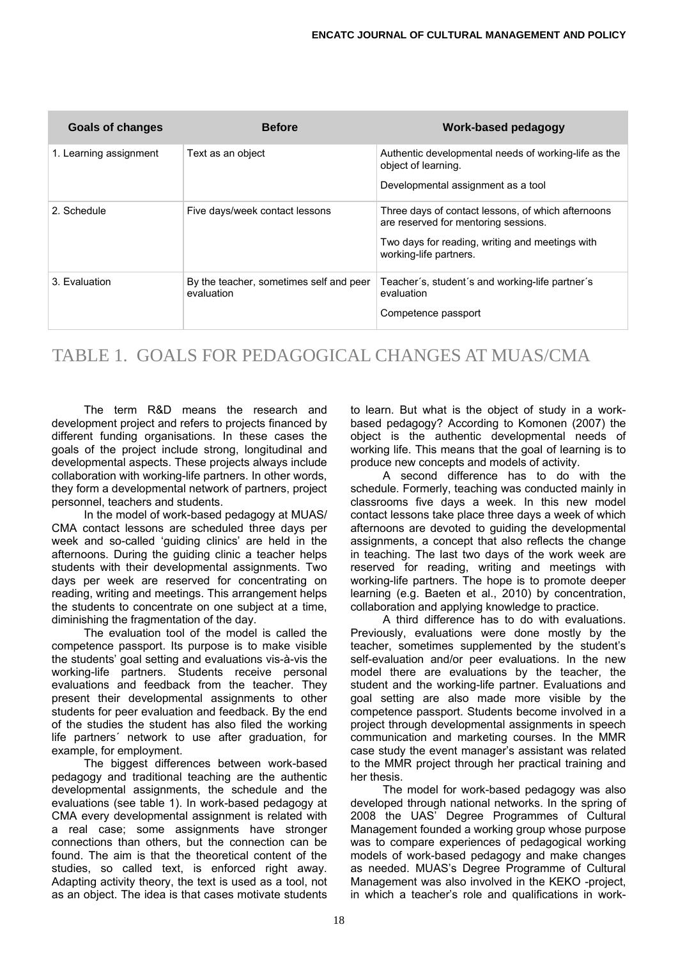| <b>Goals of changes</b> | <b>Before</b>                                         | <b>Work-based pedagogy</b>                                                                 |
|-------------------------|-------------------------------------------------------|--------------------------------------------------------------------------------------------|
| 1. Learning assignment  | Text as an object                                     | Authentic developmental needs of working-life as the<br>object of learning.                |
|                         |                                                       | Developmental assignment as a tool                                                         |
| 2. Schedule             | Five days/week contact lessons                        | Three days of contact lessons, of which afternoons<br>are reserved for mentoring sessions. |
|                         |                                                       | Two days for reading, writing and meetings with<br>working-life partners.                  |
| 3. Evaluation           | By the teacher, sometimes self and peer<br>evaluation | Teacher's, student's and working-life partner's<br>evaluation                              |
|                         |                                                       | Competence passport                                                                        |

## TABLE 1. GOALS FOR PEDAGOGICAL CHANGES AT MUAS/CMA

 The term R&D means the research and development project and refers to projects financed by different funding organisations. In these cases the goals of the project include strong, longitudinal and developmental aspects. These projects always include collaboration with working-life partners. In other words, they form a developmental network of partners, project personnel, teachers and students.

 In the model of work-based pedagogy at MUAS/ CMA contact lessons are scheduled three days per week and so-called 'guiding clinics' are held in the afternoons. During the guiding clinic a teacher helps students with their developmental assignments. Two days per week are reserved for concentrating on reading, writing and meetings. This arrangement helps the students to concentrate on one subject at a time, diminishing the fragmentation of the day.

 The evaluation tool of the model is called the competence passport. Its purpose is to make visible the students' goal setting and evaluations vis-à-vis the working-life partners. Students receive personal evaluations and feedback from the teacher. They present their developmental assignments to other students for peer evaluation and feedback. By the end of the studies the student has also filed the working life partners´ network to use after graduation, for example, for employment.

 The biggest differences between work-based pedagogy and traditional teaching are the authentic developmental assignments, the schedule and the evaluations (see table 1). In work-based pedagogy at CMA every developmental assignment is related with a real case; some assignments have stronger connections than others, but the connection can be found. The aim is that the theoretical content of the studies, so called text, is enforced right away. Adapting activity theory, the text is used as a tool, not as an object. The idea is that cases motivate students

to learn. But what is the object of study in a workbased pedagogy? According to Komonen (2007) the object is the authentic developmental needs of working life. This means that the goal of learning is to produce new concepts and models of activity.

 A second difference has to do with the schedule. Formerly, teaching was conducted mainly in classrooms five days a week. In this new model contact lessons take place three days a week of which afternoons are devoted to guiding the developmental assignments, a concept that also reflects the change in teaching. The last two days of the work week are reserved for reading, writing and meetings with working-life partners. The hope is to promote deeper learning (e.g. Baeten et al., 2010) by concentration, collaboration and applying knowledge to practice.

 A third difference has to do with evaluations. Previously, evaluations were done mostly by the teacher, sometimes supplemented by the student's self-evaluation and/or peer evaluations. In the new model there are evaluations by the teacher, the student and the working-life partner. Evaluations and goal setting are also made more visible by the competence passport. Students become involved in a project through developmental assignments in speech communication and marketing courses. In the MMR case study the event manager's assistant was related to the MMR project through her practical training and her thesis.

 The model for work-based pedagogy was also developed through national networks. In the spring of 2008 the UAS' Degree Programmes of Cultural Management founded a working group whose purpose was to compare experiences of pedagogical working models of work-based pedagogy and make changes as needed. MUAS's Degree Programme of Cultural Management was also involved in the KEKO -project, in which a teacher's role and qualifications in work-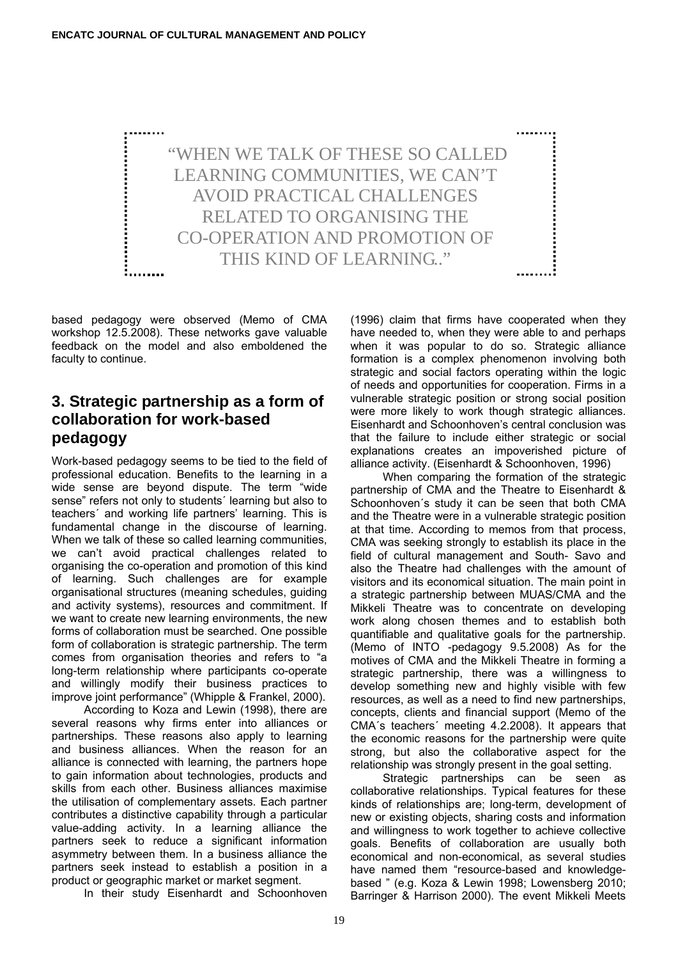

based pedagogy were observed (Memo of CMA workshop 12.5.2008). These networks gave valuable feedback on the model and also emboldened the faculty to continue.

#### **3. Strategic partnership as a form of collaboration for work-based pedagogy**

Work-based pedagogy seems to be tied to the field of professional education. Benefits to the learning in a wide sense are beyond dispute. The term "wide sense" refers not only to students' learning but also to teachers´ and working life partners' learning. This is fundamental change in the discourse of learning. When we talk of these so called learning communities, we can't avoid practical challenges related to organising the co-operation and promotion of this kind of learning. Such challenges are for example organisational structures (meaning schedules, guiding and activity systems), resources and commitment. If we want to create new learning environments, the new forms of collaboration must be searched. One possible form of collaboration is strategic partnership. The term comes from organisation theories and refers to "a long-term relationship where participants co-operate and willingly modify their business practices to improve joint performance" (Whipple & Frankel, 2000).

 According to Koza and Lewin (1998), there are several reasons why firms enter into alliances or partnerships. These reasons also apply to learning and business alliances. When the reason for an alliance is connected with learning, the partners hope to gain information about technologies, products and skills from each other. Business alliances maximise the utilisation of complementary assets. Each partner contributes a distinctive capability through a particular value-adding activity. In a learning alliance the partners seek to reduce a significant information asymmetry between them. In a business alliance the partners seek instead to establish a position in a product or geographic market or market segment.

In their study Eisenhardt and Schoonhoven

(1996) claim that firms have cooperated when they have needed to, when they were able to and perhaps when it was popular to do so. Strategic alliance formation is a complex phenomenon involving both strategic and social factors operating within the logic of needs and opportunities for cooperation. Firms in a vulnerable strategic position or strong social position were more likely to work though strategic alliances. Eisenhardt and Schoonhoven's central conclusion was that the failure to include either strategic or social explanations creates an impoverished picture of alliance activity. (Eisenhardt & Schoonhoven, 1996)

 When comparing the formation of the strategic partnership of CMA and the Theatre to Eisenhardt & Schoonhoven´s study it can be seen that both CMA and the Theatre were in a vulnerable strategic position at that time. According to memos from that process, CMA was seeking strongly to establish its place in the field of cultural management and South- Savo and also the Theatre had challenges with the amount of visitors and its economical situation. The main point in a strategic partnership between MUAS/CMA and the Mikkeli Theatre was to concentrate on developing work along chosen themes and to establish both quantifiable and qualitative goals for the partnership. (Memo of INTO -pedagogy 9.5.2008) As for the motives of CMA and the Mikkeli Theatre in forming a strategic partnership, there was a willingness to develop something new and highly visible with few resources, as well as a need to find new partnerships, concepts, clients and financial support (Memo of the CMA´s teachers´ meeting 4.2.2008). It appears that the economic reasons for the partnership were quite strong, but also the collaborative aspect for the relationship was strongly present in the goal setting.

 Strategic partnerships can be seen as collaborative relationships. Typical features for these kinds of relationships are; long-term, development of new or existing objects, sharing costs and information and willingness to work together to achieve collective goals. Benefits of collaboration are usually both economical and non-economical, as several studies have named them "resource-based and knowledgebased " (e.g. Koza & Lewin 1998; Lowensberg 2010; Barringer & Harrison 2000). The event Mikkeli Meets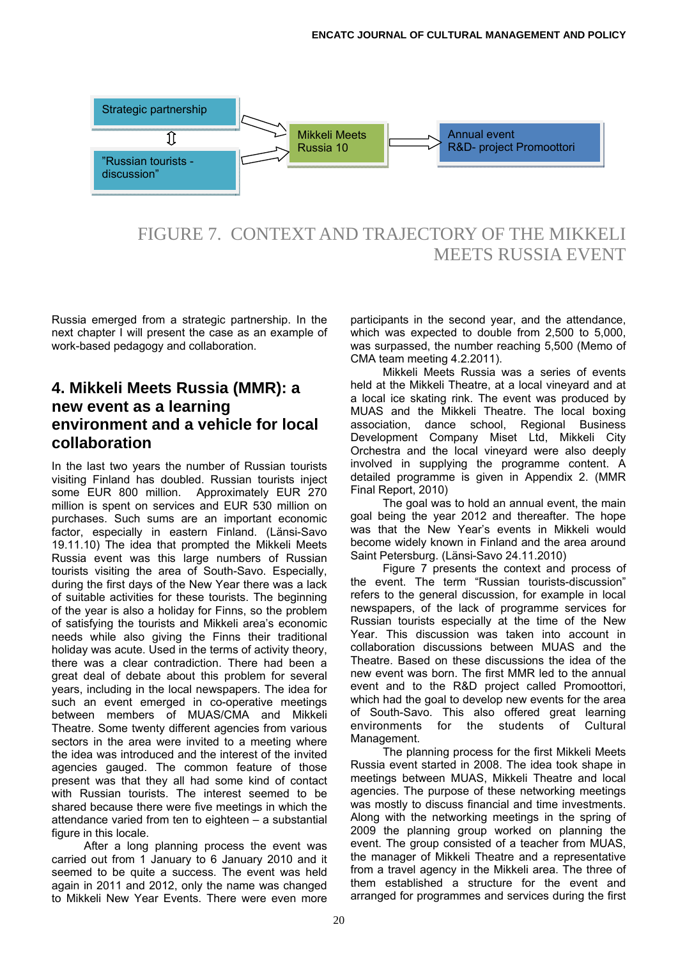

FIGURE 7. CONTEXT AND TRAJECTORY OF THE MIKKELI MEETS RUSSIA EVENT

Russia emerged from a strategic partnership. In the next chapter I will present the case as an example of work-based pedagogy and collaboration.

#### **4. Mikkeli Meets Russia (MMR): a new event as a learning environment and a vehicle for local collaboration**

In the last two years the number of Russian tourists visiting Finland has doubled. Russian tourists inject some EUR 800 million. Approximately EUR 270 million is spent on services and EUR 530 million on purchases. Such sums are an important economic factor, especially in eastern Finland. (Länsi-Savo 19.11.10) The idea that prompted the Mikkeli Meets Russia event was this large numbers of Russian tourists visiting the area of South-Savo. Especially, during the first days of the New Year there was a lack of suitable activities for these tourists. The beginning of the year is also a holiday for Finns, so the problem of satisfying the tourists and Mikkeli area's economic needs while also giving the Finns their traditional holiday was acute. Used in the terms of activity theory, there was a clear contradiction. There had been a great deal of debate about this problem for several years, including in the local newspapers. The idea for such an event emerged in co-operative meetings between members of MUAS/CMA and Mikkeli Theatre. Some twenty different agencies from various sectors in the area were invited to a meeting where the idea was introduced and the interest of the invited agencies gauged. The common feature of those present was that they all had some kind of contact with Russian tourists. The interest seemed to be shared because there were five meetings in which the attendance varied from ten to eighteen – a substantial figure in this locale.

 After a long planning process the event was carried out from 1 January to 6 January 2010 and it seemed to be quite a success. The event was held again in 2011 and 2012, only the name was changed to Mikkeli New Year Events. There were even more

participants in the second year, and the attendance, which was expected to double from 2,500 to 5,000, was surpassed, the number reaching 5,500 (Memo of CMA team meeting 4.2.2011).

 Mikkeli Meets Russia was a series of events held at the Mikkeli Theatre, at a local vineyard and at a local ice skating rink. The event was produced by MUAS and the Mikkeli Theatre. The local boxing association, dance school, Regional Business Development Company Miset Ltd, Mikkeli City Orchestra and the local vineyard were also deeply involved in supplying the programme content. A detailed programme is given in Appendix 2. (MMR Final Report, 2010)

 The goal was to hold an annual event, the main goal being the year 2012 and thereafter. The hope was that the New Year's events in Mikkeli would become widely known in Finland and the area around Saint Petersburg. (Länsi-Savo 24.11.2010)

 Figure 7 presents the context and process of the event. The term "Russian tourists-discussion" refers to the general discussion, for example in local newspapers, of the lack of programme services for Russian tourists especially at the time of the New Year. This discussion was taken into account in collaboration discussions between MUAS and the Theatre. Based on these discussions the idea of the new event was born. The first MMR led to the annual event and to the R&D project called Promoottori, which had the goal to develop new events for the area of South-Savo. This also offered great learning environments for the students of Cultural Management.

 The planning process for the first Mikkeli Meets Russia event started in 2008. The idea took shape in meetings between MUAS, Mikkeli Theatre and local agencies. The purpose of these networking meetings was mostly to discuss financial and time investments. Along with the networking meetings in the spring of 2009 the planning group worked on planning the event. The group consisted of a teacher from MUAS, the manager of Mikkeli Theatre and a representative from a travel agency in the Mikkeli area. The three of them established a structure for the event and arranged for programmes and services during the first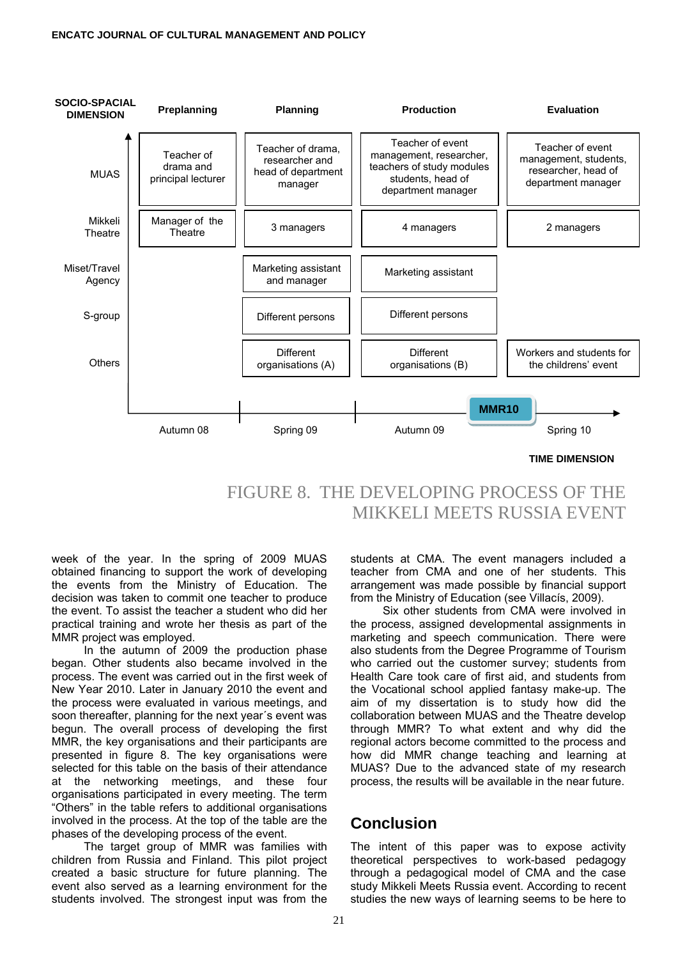

# FIGURE 8. THE DEVELOPING PROCESS OF THE MIKKELI MEETS RUSSIA EVENT

week of the year. In the spring of 2009 MUAS obtained financing to support the work of developing the events from the Ministry of Education. The decision was taken to commit one teacher to produce the event. To assist the teacher a student who did her practical training and wrote her thesis as part of the MMR project was employed.

 In the autumn of 2009 the production phase began. Other students also became involved in the process. The event was carried out in the first week of New Year 2010. Later in January 2010 the event and the process were evaluated in various meetings, and soon thereafter, planning for the next year´s event was begun. The overall process of developing the first MMR, the key organisations and their participants are presented in figure 8. The key organisations were selected for this table on the basis of their attendance at the networking meetings, and these four organisations participated in every meeting. The term "Others" in the table refers to additional organisations involved in the process. At the top of the table are the phases of the developing process of the event.

 The target group of MMR was families with children from Russia and Finland. This pilot project created a basic structure for future planning. The event also served as a learning environment for the students involved. The strongest input was from the

students at CMA. The event managers included a teacher from CMA and one of her students. This arrangement was made possible by financial support from the Ministry of Education (see Villacís, 2009).

 Six other students from CMA were involved in the process, assigned developmental assignments in marketing and speech communication. There were also students from the Degree Programme of Tourism who carried out the customer survey; students from Health Care took care of first aid, and students from the Vocational school applied fantasy make-up. The aim of my dissertation is to study how did the collaboration between MUAS and the Theatre develop through MMR? To what extent and why did the regional actors become committed to the process and how did MMR change teaching and learning at MUAS? Due to the advanced state of my research process, the results will be available in the near future.

#### **Conclusion**

The intent of this paper was to expose activity theoretical perspectives to work-based pedagogy through a pedagogical model of CMA and the case study Mikkeli Meets Russia event. According to recent studies the new ways of learning seems to be here to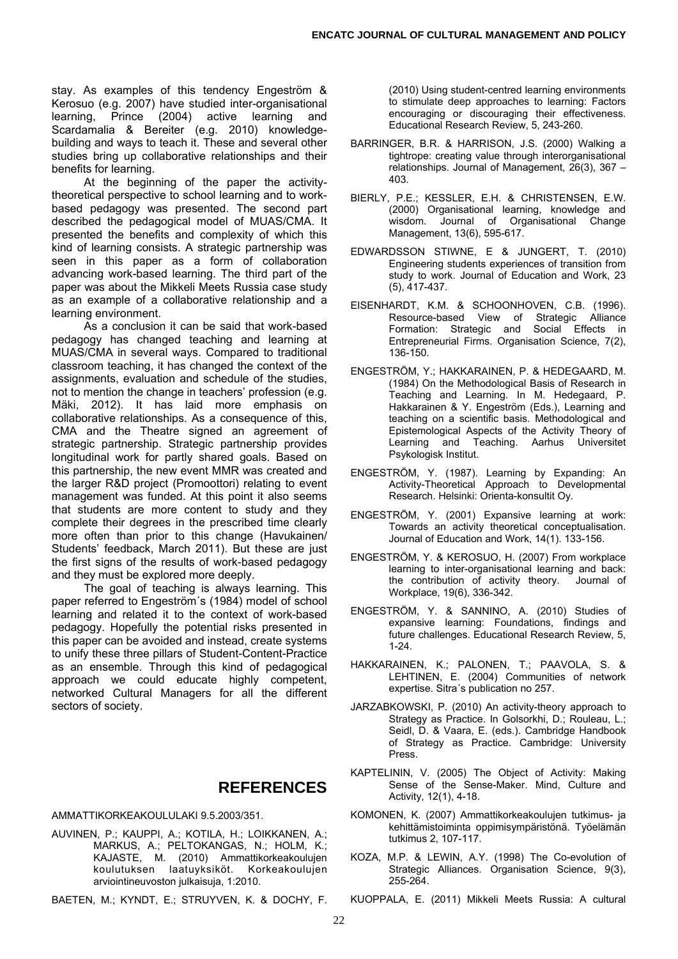stay. As examples of this tendency Engeström & Kerosuo (e.g. 2007) have studied inter-organisational learning, Prince (2004) active learning and Scardamalia & Bereiter (e.g. 2010) knowledgebuilding and ways to teach it. These and several other studies bring up collaborative relationships and their benefits for learning.

 At the beginning of the paper the activitytheoretical perspective to school learning and to workbased pedagogy was presented. The second part described the pedagogical model of MUAS/CMA. It presented the benefits and complexity of which this kind of learning consists. A strategic partnership was seen in this paper as a form of collaboration advancing work-based learning. The third part of the paper was about the Mikkeli Meets Russia case study as an example of a collaborative relationship and a learning environment.

 As a conclusion it can be said that work-based pedagogy has changed teaching and learning at MUAS/CMA in several ways. Compared to traditional classroom teaching, it has changed the context of the assignments, evaluation and schedule of the studies, not to mention the change in teachers' profession (e.g. Mäki, 2012). It has laid more emphasis on collaborative relationships. As a consequence of this, CMA and the Theatre signed an agreement of strategic partnership. Strategic partnership provides longitudinal work for partly shared goals. Based on this partnership, the new event MMR was created and the larger R&D project (Promoottori) relating to event management was funded. At this point it also seems that students are more content to study and they complete their degrees in the prescribed time clearly more often than prior to this change (Havukainen/ Students' feedback, March 2011). But these are just the first signs of the results of work-based pedagogy and they must be explored more deeply.

 The goal of teaching is always learning. This paper referred to Engeström´s (1984) model of school learning and related it to the context of work-based pedagogy. Hopefully the potential risks presented in this paper can be avoided and instead, create systems to unify these three pillars of Student-Content-Practice as an ensemble. Through this kind of pedagogical approach we could educate highly competent, networked Cultural Managers for all the different sectors of society.

#### **REFERENCES**

AMMATTIKORKEAKOULULAKI 9.5.2003/351.

AUVINEN, P.; KAUPPI, A.; KOTILA, H.; LOIKKANEN, A.; MARKUS, A.; PELTOKANGAS, N.; HOLM, K.; KAJASTE, M. (2010) Ammattikorkeakoulujen koulutuksen laatuyksiköt. Korkeakoulujen arviointineuvoston julkaisuja, 1:2010.

BAETEN, M.; KYNDT, E.; STRUYVEN, K. & DOCHY, F.

(2010) Using student-centred learning environments to stimulate deep approaches to learning: Factors encouraging or discouraging their effectiveness. Educational Research Review, 5, 243-260.

- BARRINGER, B.R. & HARRISON, J.S. (2000) Walking a tightrope: creating value through interorganisational relationships. Journal of Management, 26(3), 367 – 403.
- BIERLY, P.E.; KESSLER, E.H. & CHRISTENSEN, E.W. (2000) Organisational learning, knowledge and wisdom. Journal of Organisational Change Management, 13(6), 595-617.
- EDWARDSSON STIWNE, E & JUNGERT, T. (2010) Engineering students experiences of transition from study to work. Journal of Education and Work, 23 (5), 417-437.
- EISENHARDT, K.M. & SCHOONHOVEN, C.B. (1996). Resource-based View of Strategic Alliance Formation: Strategic and Social Effects in Entrepreneurial Firms. Organisation Science, 7(2), 136-150.
- ENGESTRÖM, Y.; HAKKARAINEN, P. & HEDEGAARD, M. (1984) On the Methodological Basis of Research in Teaching and Learning. In M. Hedegaard, P. Hakkarainen & Y. Engeström (Eds.), Learning and teaching on a scientific basis. Methodological and Epistemological Aspects of the Activity Theory of Learning and Teaching. Aarhus Universitet Psykologisk Institut.
- ENGESTRÖM, Y. (1987). Learning by Expanding: An Activity-Theoretical Approach to Developmental Research. Helsinki: Orienta-konsultit Oy.
- ENGESTRÖM, Y. (2001) Expansive learning at work: Towards an activity theoretical conceptualisation. Journal of Education and Work, 14(1). 133-156.
- ENGESTRÖM, Y. & KEROSUO, H. (2007) From workplace learning to inter-organisational learning and back: the contribution of activity theory. Journal of Workplace, 19(6), 336-342.
- ENGESTRÖM, Y. & SANNINO, A. (2010) Studies of expansive learning: Foundations, findings and future challenges. Educational Research Review, 5, 1-24.
- HAKKARAINEN, K.; PALONEN, T.; PAAVOLA, S. & LEHTINEN, E. (2004) Communities of network expertise. Sitra´s publication no 257.
- JARZABKOWSKI, P. (2010) An activity-theory approach to Strategy as Practice. In Golsorkhi, D.; Rouleau, L.; Seidl, D. & Vaara, E. (eds.). Cambridge Handbook of Strategy as Practice. Cambridge: University Press.
- KAPTELININ, V. (2005) The Object of Activity: Making Sense of the Sense-Maker. Mind, Culture and Activity, 12(1), 4-18.
- KOMONEN, K. (2007) Ammattikorkeakoulujen tutkimus- ja kehittämistoiminta oppimisympäristönä. Työelämän tutkimus 2, 107-117.
- KOZA, M.P. & LEWIN, A.Y. (1998) The Co-evolution of Strategic Alliances. Organisation Science, 9(3), 255-264.
- KUOPPALA, E. (2011) Mikkeli Meets Russia: A cultural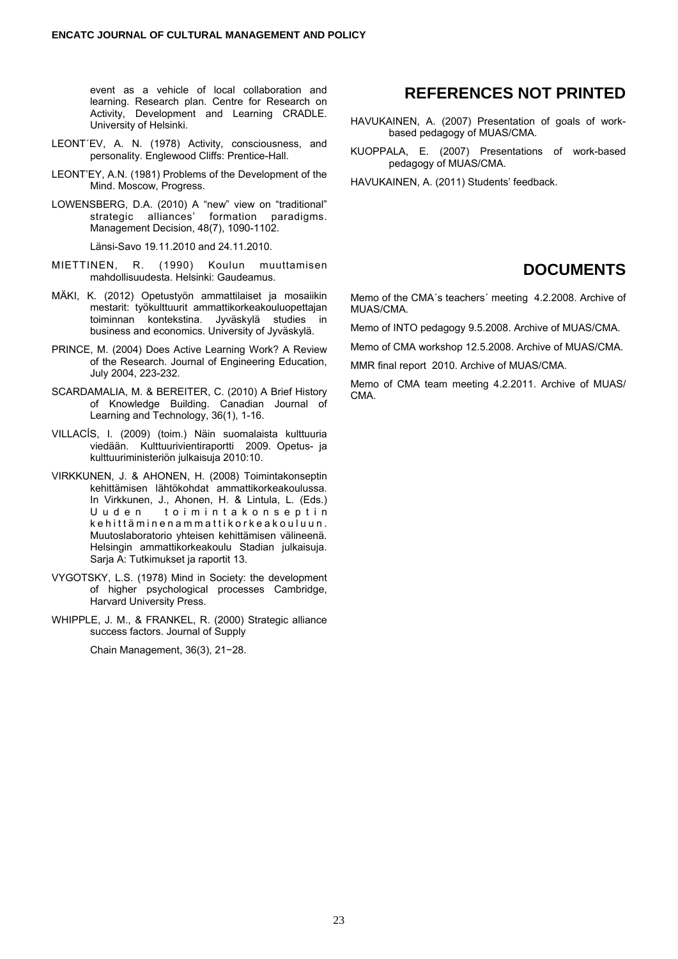event as a vehicle of local collaboration and learning. Research plan. Centre for Research on Activity, Development and Learning CRADLE. University of Helsinki.

- LEONT´EV, A. N. (1978) Activity, consciousness, and personality. Englewood Cliffs: Prentice-Hall.
- LEONT'EY, A.N. (1981) Problems of the Development of the Mind. Moscow, Progress.
- LOWENSBERG, D.A. (2010) A "new" view on "traditional" strategic alliances' formation paradigms. Management Decision, 48(7), 1090-1102.

Länsi-Savo 19.11.2010 and 24.11.2010.

- MIETTINEN, R. (1990) Koulun muuttamisen mahdollisuudesta. Helsinki: Gaudeamus.
- MÄKI, K. (2012) Opetustyön ammattilaiset ja mosaiikin mestarit: työkulttuurit ammattikorkeakouluopettajan toiminnan kontekstina. Jyväskylä studies in business and economics. University of Jyväskylä.
- PRINCE, M. (2004) Does Active Learning Work? A Review of the Research. Journal of Engineering Education, July 2004, 223-232.
- SCARDAMALIA, M. & BEREITER, C. (2010) A Brief History of Knowledge Building. Canadian Journal of Learning and Technology, 36(1), 1-16.
- VILLACÍS, I. (2009) (toim.) Näin suomalaista kulttuuria viedään. Kulttuurivientiraportti 2009. Opetus- ja kulttuuriministeriön julkaisuja 2010:10.
- VIRKKUNEN, J. & AHONEN, H. (2008) Toimintakonseptin kehittämisen lähtökohdat ammattikorkeakoulussa. In Virkkunen, J., Ahonen, H. & Lintula, L. (Eds.) U u d e n to i m i n t a k o n s e p t i n k e hittämin e n a m m attik or k e a k o u l u u n . Muutoslaboratorio yhteisen kehittämisen välineenä. Helsingin ammattikorkeakoulu Stadian julkaisuja. Sarja A: Tutkimukset ja raportit 13.
- VYGOTSKY, L.S. (1978) Mind in Society: the development of higher psychological processes Cambridge, Harvard University Press.
- WHIPPLE, J. M., & FRANKEL, R. (2000) Strategic alliance success factors. Journal of Supply

Chain Management, 36(3), 21−28.

#### **REFERENCES NOT PRINTED**

- HAVUKAINEN, A. (2007) Presentation of goals of workbased pedagogy of MUAS/CMA.
- KUOPPALA, E. (2007) Presentations of work-based pedagogy of MUAS/CMA.

HAVUKAINEN, A. (2011) Students' feedback.

#### **DOCUMENTS**

Memo of the CMA´s teachers´ meeting 4.2.2008. Archive of MUAS/CMA.

Memo of INTO pedagogy 9.5.2008. Archive of MUAS/CMA.

Memo of CMA workshop 12.5.2008. Archive of MUAS/CMA.

MMR final report 2010. Archive of MUAS/CMA.

Memo of CMA team meeting 4.2.2011. Archive of MUAS/ CMA.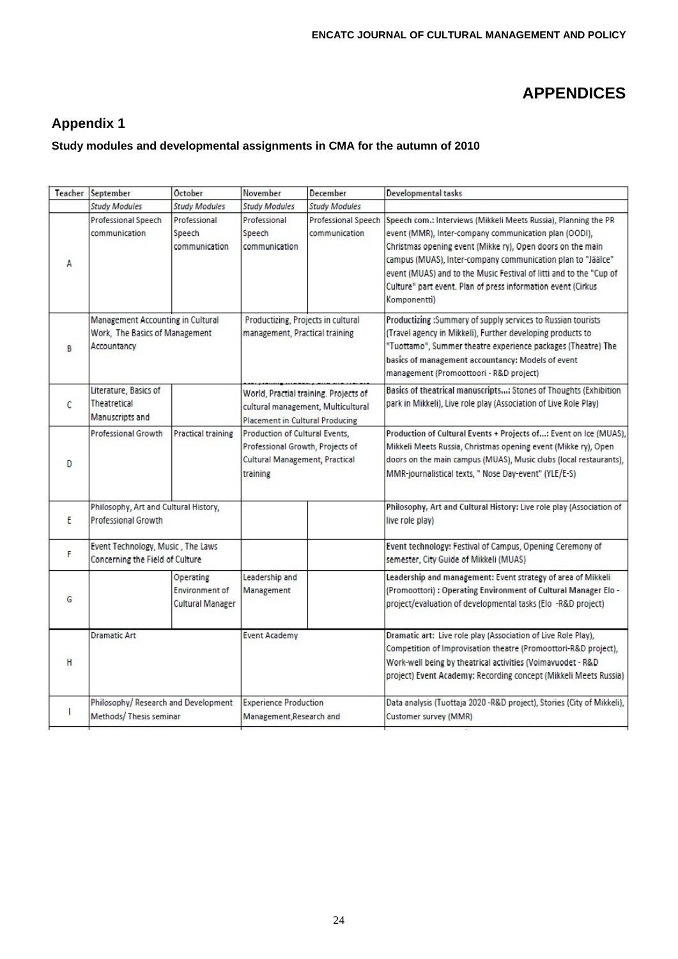# **APPENDICES**

## **Appendix 1**

#### **Study modules and developmental assignments in CMA for the autumn of 2010**

| Teacher       | September                                                                          | October                                         | November                                                                                                         | December                             | Developmental tasks                                                                                                                                                                                                                                                                                                                                                                                         |
|---------------|------------------------------------------------------------------------------------|-------------------------------------------------|------------------------------------------------------------------------------------------------------------------|--------------------------------------|-------------------------------------------------------------------------------------------------------------------------------------------------------------------------------------------------------------------------------------------------------------------------------------------------------------------------------------------------------------------------------------------------------------|
|               | <b>Study Modules</b>                                                               | <b>Study Modules</b>                            | <b>Study Modules</b>                                                                                             | <b>Study Modules</b>                 |                                                                                                                                                                                                                                                                                                                                                                                                             |
| A             | Professional Speech<br>communication                                               | Professional<br>Speech<br>communication         | Professional<br>Speech<br>communication                                                                          | Professional Speech<br>communication | Speech com.: Interviews (Mikkeli Meets Russia), Planning the PR<br>event (MMR), Inter-company communication plan (OODI),<br>Christmas opening event (Mikke ry), Open doors on the main<br>campus (MUAS), Inter-company communication plan to "Jäälce"<br>event (MUAS) and to the Music Festival of litti and to the "Cup of<br>Culture" part event. Plan of press information event (Cirkus<br>Komponentti) |
| B             | Management Accounting in Cultural<br>Work, The Basics of Management<br>Accountancy |                                                 | Productizing, Projects in cultural<br>management, Practical training                                             |                                      | Productizing :Summary of supply services to Russian tourists<br>(Travel agency in Mikkeli), Further developing products to<br>"Tuottamo", Summer theatre experience packages (Theatre) The<br>basics of management accountancy: Models of event<br>management (Promoottoori - R&D project)                                                                                                                  |
| $\mathcal{C}$ | Literature, Basics of<br>Theatretical<br>Manuscripts and                           |                                                 | World, Practial training. Projects of<br>cultural management, Multicultural<br>Placement in Cultural Producing   |                                      | Basics of theatrical manuscripts: Stones of Thoughts (Exhibition<br>park in Mikkeli), Live role play (Association of Live Role Play)                                                                                                                                                                                                                                                                        |
| D             | <b>Professional Growth</b>                                                         | <b>Practical training</b>                       | Production of Cultural Events,<br>Professional Growth, Projects of<br>Cultural Management, Practical<br>training |                                      | Production of Cultural Events + Projects of: Event on Ice (MUAS),<br>Mikkeli Meets Russia, Christmas opening event (Mikke ry), Open<br>doors on the main campus (MUAS), Music clubs (local restaurants),<br>MMR-journalistical texts, " Nose Day-event" (YLE/E-S)                                                                                                                                           |
| E             | Philosophy, Art and Cultural History,<br><b>Professional Growth</b>                |                                                 |                                                                                                                  |                                      | Philosophy, Art and Cultural History: Live role play (Association of<br>live role play)                                                                                                                                                                                                                                                                                                                     |
| F             | Event Technology, Music, The Laws<br>Concerning the Field of Culture               |                                                 |                                                                                                                  |                                      | Event technology: Festival of Campus, Opening Ceremony of<br>semester, City Guide of Mikkeli (MUAS)                                                                                                                                                                                                                                                                                                         |
| G             |                                                                                    | Operating<br>Environment of<br>Cultural Manager | Leadership and<br>Management                                                                                     |                                      | Leadership and management: Event strategy of area of Mikkeli<br>(Promoottori) : Operating Environment of Cultural Manager Elo -<br>project/evaluation of developmental tasks (Elo -R&D project)                                                                                                                                                                                                             |
| H             | <b>Dramatic Art</b>                                                                |                                                 | <b>Event Academy</b>                                                                                             |                                      | Dramatic art: Live role play (Association of Live Role Play),<br>Competition of Improvisation theatre (Promoottori-R&D project),<br>Work-well being by theatrical activities (Voimavuodet - R&D<br>project) Event Academy: Recording concept (Mikkeli Meets Russia)                                                                                                                                         |
|               | Philosophy/ Research and Development<br>Methods/ Thesis seminar                    |                                                 | <b>Experience Production</b><br>Management, Research and                                                         |                                      | Data analysis (Tuottaja 2020 - R&D project), Stories (City of Mikkeli),<br>Customer survey (MMR)                                                                                                                                                                                                                                                                                                            |